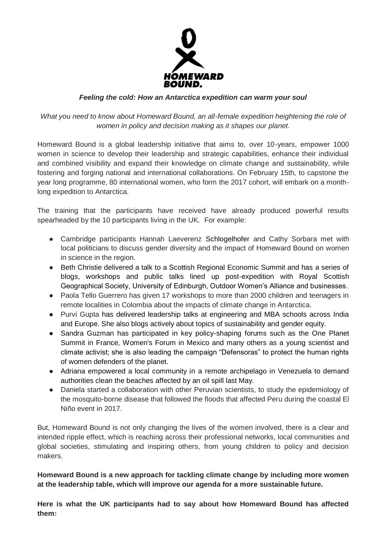

# *Feeling the cold: How an Antarctica expedition can warm your soul*

What you need to know about Homeward Bound, an all-female expedition heightening the role of *women in policy and decision making as it shapes our planet.*

Homeward Bound is a global leadership initiative that aims to, over 10-years, empower 1000 women in science to develop their leadership and strategic capabilities, enhance their individual and combined visibility and expand their knowledge on climate change and sustainability, while fostering and forging national and international collaborations. On February 15th, to capstone the year long programme, 80 international women, who form the 2017 cohort, will embark on a monthlong expedition to Antarctica.

The training that the participants have received have already produced powerful results spearheaded by the 10 participants living in the UK. For example:

- Cambridge participants Hannah Laeverenz Schlogelhofer and Cathy Sorbara met with local politicians to discuss gender diversity and the impact of Homeward Bound on women in science in the region.
- Beth Christie delivered a talk to a Scottish Regional Economic Summit and has a series of blogs, workshops and public talks lined up post-expedition with Royal Scottish Geographical Society, University of Edinburgh, Outdoor Women's Alliance and businesses.
- Paola Tello Guerrero has given 17 workshops to more than 2000 children and teenagers in remote localities in Colombia about the impacts of climate change in Antarctica.
- Purvi Gupta has delivered leadership talks at engineering and MBA schools across India and Europe. She also blogs actively about topics of sustainability and gender equity.
- Sandra Guzman has participated in key policy-shaping forums such as the One Planet Summit in France, Women's Forum in Mexico and many others as a young scientist and climate activist; she is also leading the campaign "Defensoras" to protect the human rights of women defenders of the planet.
- Adriana empowered a local community in a remote archipelago in Venezuela to demand authorities clean the beaches affected by an oil spill last May.
- Daniela started a collaboration with other Peruvian scientists, to study the epidemiology of the mosquito-borne disease that followed the floods that affected Peru during the coastal El Niño event in 2017.

But, Homeward Bound is not only changing the lives of the women involved, there is a clear and intended ripple effect, which is reaching across their professional networks, local communities and global societies, stimulating and inspiring others, from young children to policy and decision makers.

**Homeward Bound is a new approach for tackling climate change by including more women at the leadership table, which will improve our agenda for a more sustainable future.**

**Here is what the UK participants had to say about how Homeward Bound has affected them:**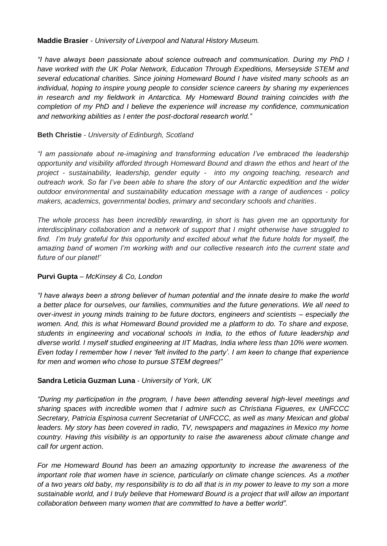#### **Maddie Brasier** *- University of Liverpool and Natural History Museum.*

*"I have always been passionate about science outreach and communication. During my PhD I have worked with the UK Polar Network, Education Through Expeditions, Merseyside STEM and several educational charities. Since joining Homeward Bound I have visited many schools as an individual, hoping to inspire young people to consider science careers by sharing my experiences in research and my fieldwork in Antarctica. My Homeward Bound training coincides with the completion of my PhD and I believe the experience will increase my confidence, communication and networking abilities as I enter the post-doctoral research world."*

### **Beth Christie** *- University of Edinburgh, Scotland*

*"I am passionate about re-imagining and transforming education I've embraced the leadership opportunity and visibility afforded through Homeward Bound and drawn the ethos and heart of the project - sustainability, leadership, gender equity - into my ongoing teaching, research and outreach work. So far I've been able to share the story of our Antarctic expedition and the wider outdoor environmental and sustainability education message with a range of audiences - policy makers, academics, governmental bodies, primary and secondary schools and charities*.

*The whole process has been incredibly rewarding, in short is has given me an opportunity for interdisciplinary collaboration and a network of support that I might otherwise have struggled to find. I'm truly grateful for this opportunity and excited about what the future holds for myself, the amazing band of women I'm working with and our collective research into the current state and future of our planet!'* 

# **Purvi Gupta** – *McKinsey & Co, London*

*"I have always been a strong believer of human potential and the innate desire to make the world a better place for ourselves, our families, communities and the future generations. We all need to over-invest in young minds training to be future doctors, engineers and scientists – especially the women. And, this is what Homeward Bound provided me a platform to do. To share and expose, students in engineering and vocational schools in India, to the ethos of future leadership and diverse world. I myself studied engineering at IIT Madras, India where less than 10% were women. Even today I remember how I never 'felt invited to the party'. I am keen to change that experience for men and women who chose to pursue STEM degrees!"*

#### **Sandra Leticia Guzman Luna** - *University of York, UK*

*"During my participation in the program, I have been attending several high-level meetings and sharing spaces with incredible women that I admire such as Christiana Figueres, ex UNFCCC Secretary, Patricia Espinosa current Secretariat of UNFCCC, as well as many Mexican and global leaders. My story has been covered in radio, TV, newspapers and magazines in Mexico my home country. Having this visibility is an opportunity to raise the awareness about climate change and call for urgent actio*n.

*For me Homeward Bound has been an amazing opportunity to increase the awareness of the important role that women have in science, particularly on climate change sciences. As a mother of a two years old baby, my responsibility is to do all that is in my power to leave to my son a more sustainable world, and I truly believe that Homeward Bound is a project that will allow an important collaboration between many women that are committed to have a better world".*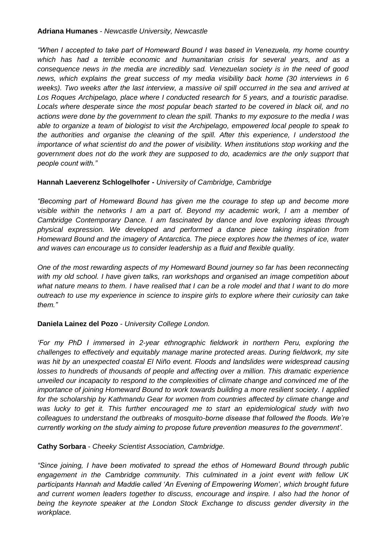#### **Adriana Humanes** - *Newcastle University, Newcastle*

*"When I accepted to take part of Homeward Bound I was based in Venezuela, my home country which has had a terrible economic and humanitarian crisis for several years, and as a consequence news in the media are incredibly sad. Venezuelan society is in the need of good news, which explains the great success of my media visibility back home (30 interviews in 6 weeks). Two weeks after the last interview, a massive oil spill occurred in the sea and arrived at Los Roques Archipelago, place where I conducted research for 5 years, and a touristic paradise. Locals where desperate since the most popular beach started to be covered in black oil, and no actions were done by the government to clean the spill. Thanks to my exposure to the media I was able to organize a team of biologist to visit the Archipelago, empowered local people to speak to the authorities and organise the cleaning of the spill. After this experience, I understood the importance of what scientist do and the power of visibility. When institutions stop working and the government does not do the work they are supposed to do, academics are the only support that people count with."*

### **Hannah Laeverenz Schlogelhofer -** *University of Cambridge, Cambridge*

*"Becoming part of Homeward Bound has given me the courage to step up and become more visible within the networks I am a part of. Beyond my academic work, I am a member of Cambridge Contemporary Dance. I am fascinated by dance and love exploring ideas through physical expression. We developed and performed a dance piece taking inspiration from Homeward Bound and the imagery of Antarctica. The piece explores how the themes of ice, water and waves can encourage us to consider leadership as a fluid and flexible quality.*

*One of the most rewarding aspects of my Homeward Bound journey so far has been reconnecting with my old school. I have given talks, ran workshops and organised an image competition about what nature means to them. I have realised that I can be a role model and that I want to do more outreach to use my experience in science to inspire girls to explore where their curiosity can take them."*

# **Daniela Lainez del Pozo** - *University College London.*

*'For my PhD I immersed in 2-year ethnographic fieldwork in northern Peru, exploring the challenges to effectively and equitably manage marine protected areas. During fieldwork, my site was hit by an unexpected coastal El Niño event. Floods and landslides were widespread causing losses to hundreds of thousands of people and affecting over a million. This dramatic experience unveiled our incapacity to respond to the complexities of climate change and convinced me of the importance of joining Homeward Bound to work towards building a more resilient society. I applied for the scholarship by Kathmandu Gear for women from countries affected by climate change and was lucky to get it. This further encouraged me to start an epidemiological study with two colleagues to understand the outbreaks of mosquito-borne disease that followed the floods. We're currently working on the study aiming to propose future prevention measures to the government'.*

**Cathy Sorbara** - *Cheeky Scientist Association, Cambridge.*

*"Since joining, I have been motivated to spread the ethos of Homeward Bound through public engagement in the Cambridge community. This culminated in a joint event with fellow UK participants Hannah and Maddie called 'An Evening of Empowering Women', which brought future and current women leaders together to discuss, encourage and inspire. I also had the honor of*  being the keynote speaker at the London Stock Exchange to discuss gender diversity in the *workplace.*